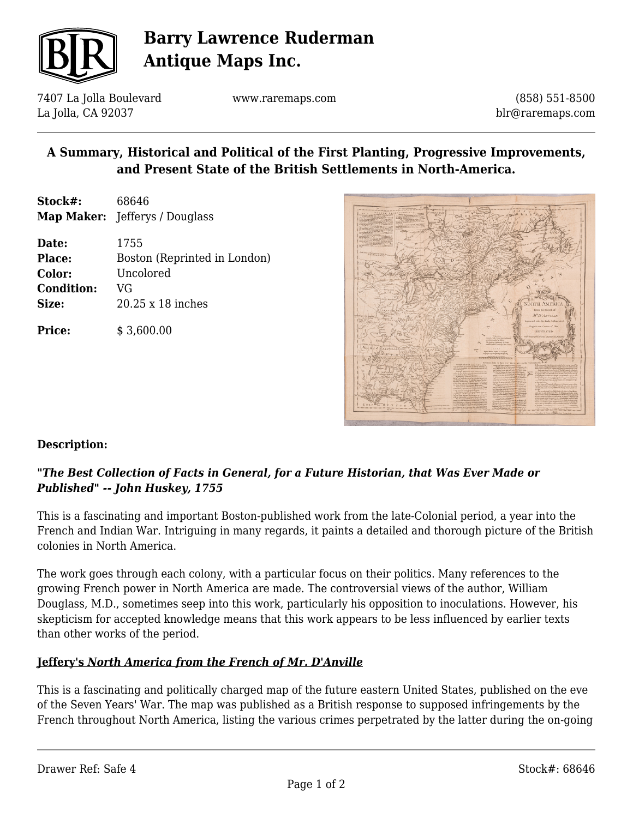

# **Barry Lawrence Ruderman Antique Maps Inc.**

7407 La Jolla Boulevard La Jolla, CA 92037

www.raremaps.com

(858) 551-8500 blr@raremaps.com

### **A Summary, Historical and Political of the First Planting, Progressive Improvements, and Present State of the British Settlements in North-America.**

**Stock#:** 68646 **Map Maker:** Jefferys / Douglass

**Price:** \$ 3,600.00

| Date:             | 1755                         |
|-------------------|------------------------------|
| <b>Place:</b>     | Boston (Reprinted in London) |
| Color:            | Uncolored                    |
| <b>Condition:</b> | VG                           |
| Size:             | $20.25 \times 18$ inches     |
|                   |                              |



#### **Description:**

#### *"The Best Collection of Facts in General, for a Future Historian, that Was Ever Made or Published" -- John Huskey, 1755*

This is a fascinating and important Boston-published work from the late-Colonial period, a year into the French and Indian War. Intriguing in many regards, it paints a detailed and thorough picture of the British colonies in North America.

The work goes through each colony, with a particular focus on their politics. Many references to the growing French power in North America are made. The controversial views of the author, William Douglass, M.D., sometimes seep into this work, particularly his opposition to inoculations. However, his skepticism for accepted knowledge means that this work appears to be less influenced by earlier texts than other works of the period.

#### **Jeffery's** *North America from the French of Mr. D'Anville*

This is a fascinating and politically charged map of the future eastern United States, published on the eve of the Seven Years' War. The map was published as a British response to supposed infringements by the French throughout North America, listing the various crimes perpetrated by the latter during the on-going